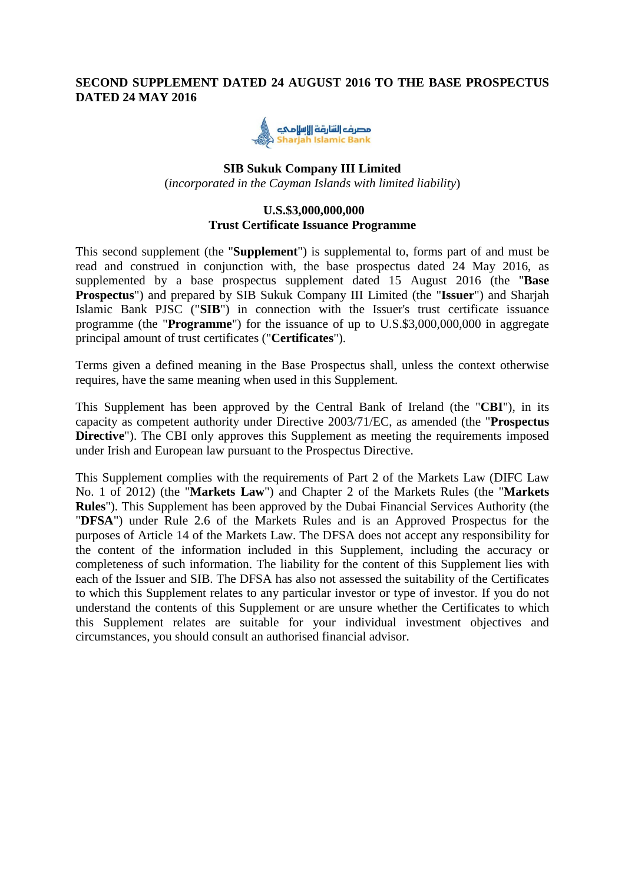## **SECOND SUPPLEMENT DATED 24 AUGUST 2016 TO THE BASE PROSPECTUS DATED 24 MAY 2016**



## **SIB Sukuk Company III Limited** (*incorporated in the Cayman Islands with limited liability*)

#### **U.S.\$3,000,000,000 Trust Certificate Issuance Programme**

This second supplement (the "**Supplement**") is supplemental to, forms part of and must be read and construed in conjunction with, the base prospectus dated 24 May 2016, as supplemented by a base prospectus supplement dated 15 August 2016 (the "**Base Prospectus**") and prepared by SIB Sukuk Company III Limited (the "**Issuer**") and Sharjah Islamic Bank PJSC ("**SIB**") in connection with the Issuer's trust certificate issuance programme (the "**Programme**") for the issuance of up to U.S.\$3,000,000,000 in aggregate principal amount of trust certificates ("**Certificates**").

Terms given a defined meaning in the Base Prospectus shall, unless the context otherwise requires, have the same meaning when used in this Supplement.

This Supplement has been approved by the Central Bank of Ireland (the "**CBI**"), in its capacity as competent authority under Directive 2003/71/EC, as amended (the "**Prospectus Directive**"). The CBI only approves this Supplement as meeting the requirements imposed under Irish and European law pursuant to the Prospectus Directive.

This Supplement complies with the requirements of Part 2 of the Markets Law (DIFC Law No. 1 of 2012) (the "**Markets Law**") and Chapter 2 of the Markets Rules (the "**Markets Rules**"). This Supplement has been approved by the Dubai Financial Services Authority (the "**DFSA**") under Rule 2.6 of the Markets Rules and is an Approved Prospectus for the purposes of Article 14 of the Markets Law. The DFSA does not accept any responsibility for the content of the information included in this Supplement, including the accuracy or completeness of such information. The liability for the content of this Supplement lies with each of the Issuer and SIB. The DFSA has also not assessed the suitability of the Certificates to which this Supplement relates to any particular investor or type of investor. If you do not understand the contents of this Supplement or are unsure whether the Certificates to which this Supplement relates are suitable for your individual investment objectives and circumstances, you should consult an authorised financial advisor.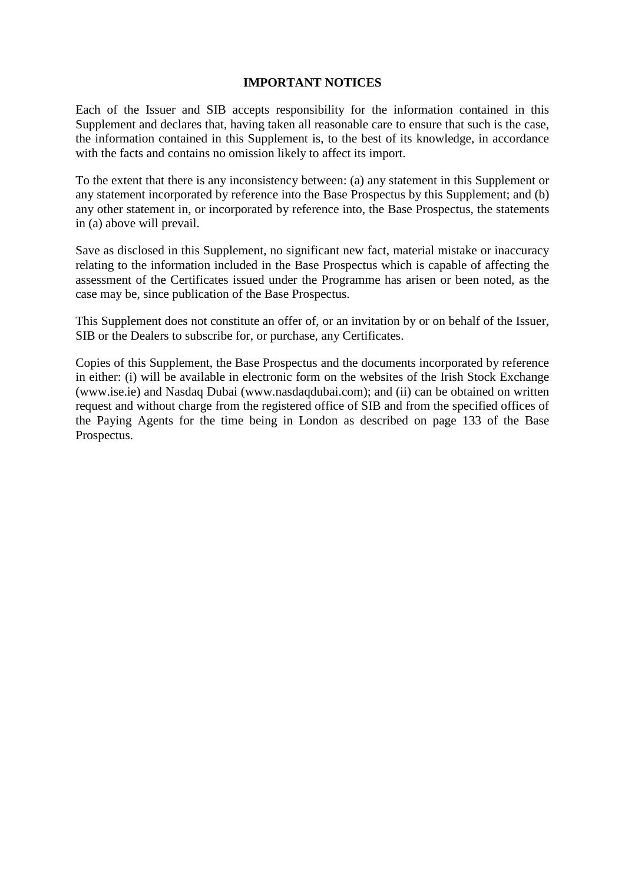### **IMPORTANT NOTICES**

Each of the Issuer and SIB accepts responsibility for the information contained in this Supplement and declares that, having taken all reasonable care to ensure that such is the case, the information contained in this Supplement is, to the best of its knowledge, in accordance with the facts and contains no omission likely to affect its import.

To the extent that there is any inconsistency between: (a) any statement in this Supplement or any statement incorporated by reference into the Base Prospectus by this Supplement; and (b) any other statement in, or incorporated by reference into, the Base Prospectus, the statements in (a) above will prevail.

Save as disclosed in this Supplement, no significant new fact, material mistake or inaccuracy relating to the information included in the Base Prospectus which is capable of affecting the assessment of the Certificates issued under the Programme has arisen or been noted, as the case may be, since publication of the Base Prospectus.

This Supplement does not constitute an offer of, or an invitation by or on behalf of the Issuer, SIB or the Dealers to subscribe for, or purchase, any Certificates.

Copies of this Supplement, the Base Prospectus and the documents incorporated by reference in either: (i) will be available in electronic form on the websites of the Irish Stock Exchange (www.ise.ie) and Nasdaq Dubai (www.nasdaqdubai.com); and (ii) can be obtained on written request and without charge from the registered office of SIB and from the specified offices of the Paying Agents for the time being in London as described on page 133 of the Base Prospectus.